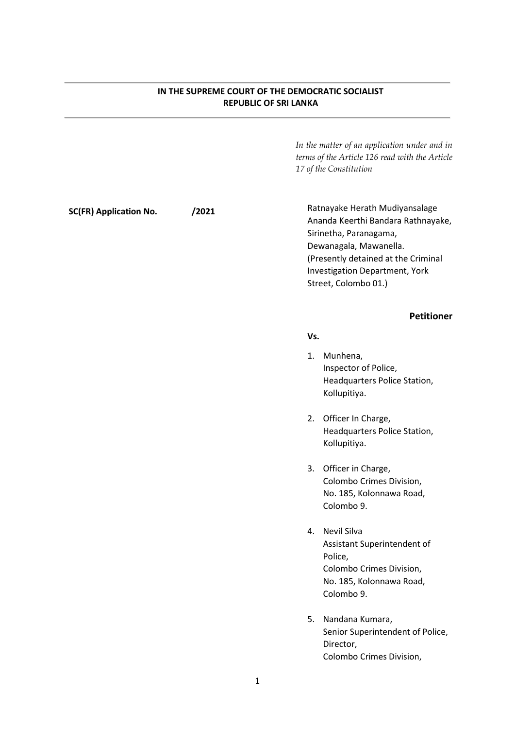#### IN THE SUPREME COURT OF THE DEMOCRATIC SOCIALIST REPUBLIC OF SRI LANKA

In the matter of an application under and in terms of the Article 126 read with the Article 17 of the Constitution

SC(FR) Application No. /2021

Ratnayake Herath Mudiyansalage Ananda Keerthi Bandara Rathnayake, Sirinetha, Paranagama, Dewanagala, Mawanella. (Presently detained at the Criminal Investigation Department, York Street, Colombo 01.)

#### Petitioner

#### Vs.

- 1. Munhena, Inspector of Police, Headquarters Police Station, Kollupitiya.
- 2. Officer In Charge, Headquarters Police Station, Kollupitiya.
- 3. Officer in Charge, Colombo Crimes Division, No. 185, Kolonnawa Road, Colombo 9.
- 4. Nevil Silva Assistant Superintendent of Police, Colombo Crimes Division, No. 185, Kolonnawa Road, Colombo 9.
- 5. Nandana Kumara, Senior Superintendent of Police, Director, Colombo Crimes Division,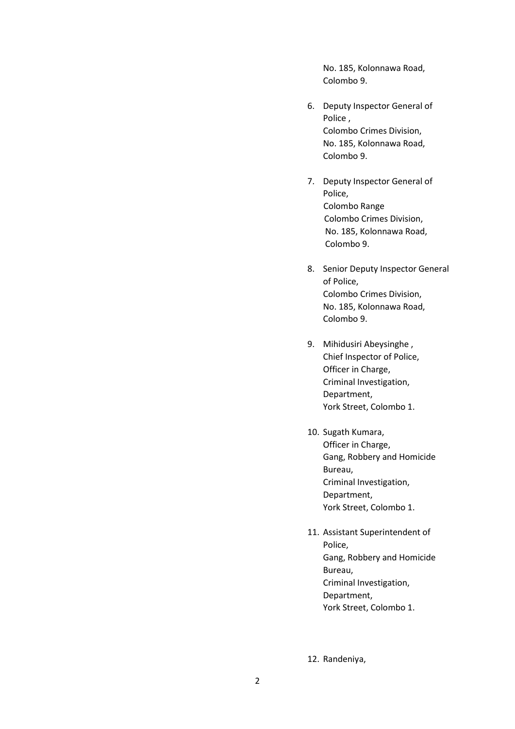No. 185, Kolonnawa Road, Colombo 9.

- 6. Deputy Inspector General of Police , Colombo Crimes Division, No. 185, Kolonnawa Road, Colombo 9.
- 7. Deputy Inspector General of Police, Colombo Range Colombo Crimes Division, No. 185, Kolonnawa Road, Colombo 9.
- 8. Senior Deputy Inspector General of Police, Colombo Crimes Division, No. 185, Kolonnawa Road, Colombo 9.
- 9. Mihidusiri Abeysinghe , Chief Inspector of Police, Officer in Charge, Criminal Investigation, Department, York Street, Colombo 1.
- 10. Sugath Kumara, Officer in Charge, Gang, Robbery and Homicide Bureau, Criminal Investigation, Department, York Street, Colombo 1.
- 11. Assistant Superintendent of Police, Gang, Robbery and Homicide Bureau, Criminal Investigation, Department, York Street, Colombo 1.

12. Randeniya,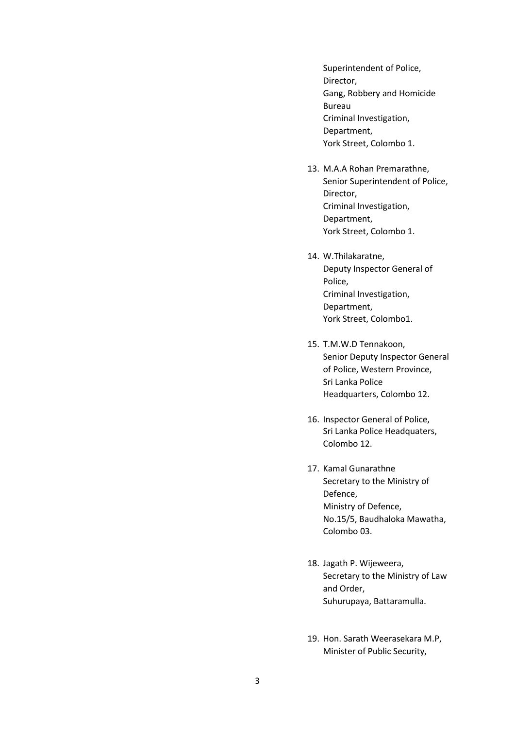Superintendent of Police, Director, Gang, Robbery and Homicide Bureau Criminal Investigation, Department, York Street, Colombo 1.

- 13. M.A.A Rohan Premarathne, Senior Superintendent of Police, Director, Criminal Investigation, Department, York Street, Colombo 1.
- 14. W.Thilakaratne, Deputy Inspector General of Police, Criminal Investigation, Department, York Street, Colombo1.
- 15. T.M.W.D Tennakoon, Senior Deputy Inspector General of Police, Western Province, Sri Lanka Police Headquarters, Colombo 12.
- 16. Inspector General of Police, Sri Lanka Police Headquaters, Colombo 12.
- 17. Kamal Gunarathne Secretary to the Ministry of Defence, Ministry of Defence, No.15/5, Baudhaloka Mawatha, Colombo 03.
- 18. Jagath P. Wijeweera, Secretary to the Ministry of Law and Order, Suhurupaya, Battaramulla.
- 19. Hon. Sarath Weerasekara M.P, Minister of Public Security,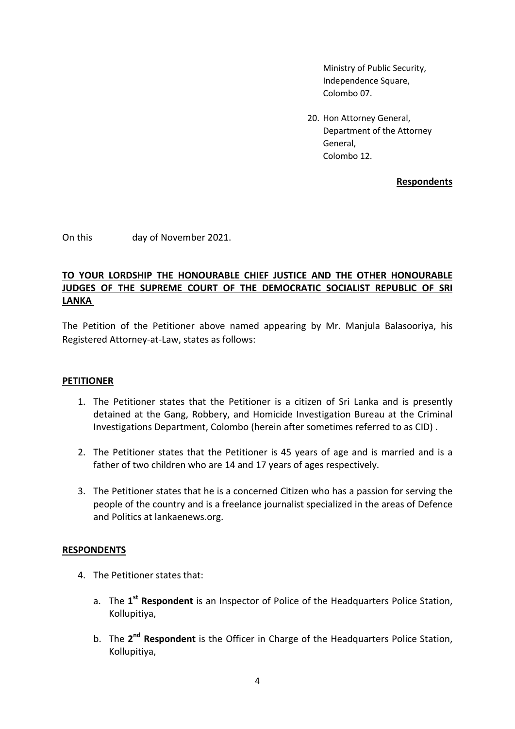Ministry of Public Security, Independence Square, Colombo 07.

20. Hon Attorney General, Department of the Attorney General, Colombo 12.

Respondents

On this day of November 2021.

## TO YOUR LORDSHIP THE HONOURABLE CHIEF JUSTICE AND THE OTHER HONOURABLE JUDGES OF THE SUPREME COURT OF THE DEMOCRATIC SOCIALIST REPUBLIC OF SRI LANKA

The Petition of the Petitioner above named appearing by Mr. Manjula Balasooriya, his Registered Attorney-at-Law, states as follows:

### PETITIONER

- 1. The Petitioner states that the Petitioner is a citizen of Sri Lanka and is presently detained at the Gang, Robbery, and Homicide Investigation Bureau at the Criminal Investigations Department, Colombo (herein after sometimes referred to as CID) .
- 2. The Petitioner states that the Petitioner is 45 years of age and is married and is a father of two children who are 14 and 17 years of ages respectively.
- 3. The Petitioner states that he is a concerned Citizen who has a passion for serving the people of the country and is a freelance journalist specialized in the areas of Defence and Politics at lankaenews.org.

### **RESPONDENTS**

- 4. The Petitioner states that:
	- a. The 1<sup>st</sup> Respondent is an Inspector of Police of the Headquarters Police Station, Kollupitiya,
	- b. The 2<sup>nd</sup> Respondent is the Officer in Charge of the Headquarters Police Station, Kollupitiya,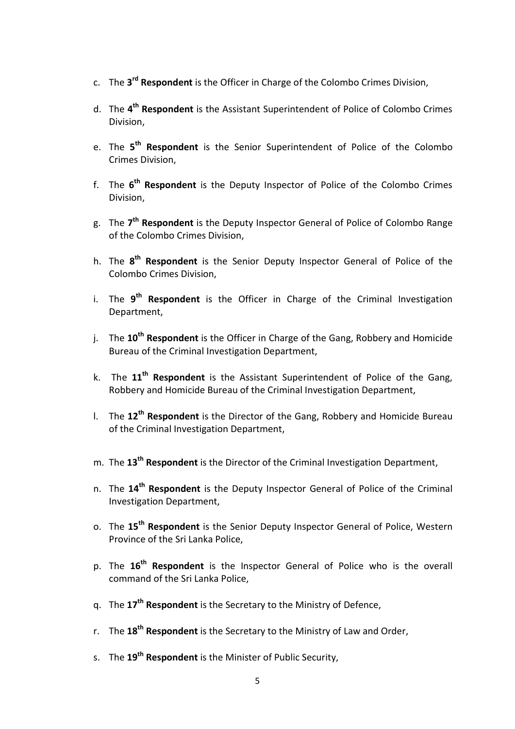- c. The 3<sup>rd</sup> Respondent is the Officer in Charge of the Colombo Crimes Division,
- d. The 4<sup>th</sup> Respondent is the Assistant Superintendent of Police of Colombo Crimes Division,
- e. The 5<sup>th</sup> Respondent is the Senior Superintendent of Police of the Colombo Crimes Division,
- f. The 6<sup>th</sup> Respondent is the Deputy Inspector of Police of the Colombo Crimes Division,
- g. The 7<sup>th</sup> Respondent is the Deputy Inspector General of Police of Colombo Range of the Colombo Crimes Division,
- h. The 8<sup>th</sup> Respondent is the Senior Deputy Inspector General of Police of the Colombo Crimes Division,
- i. The 9<sup>th</sup> Respondent is the Officer in Charge of the Criminal Investigation Department,
- j. The  $10^{th}$  Respondent is the Officer in Charge of the Gang, Robbery and Homicide Bureau of the Criminal Investigation Department,
- k. The  $11<sup>th</sup>$  Respondent is the Assistant Superintendent of Police of the Gang, Robbery and Homicide Bureau of the Criminal Investigation Department,
- I. The  $12<sup>th</sup>$  Respondent is the Director of the Gang, Robbery and Homicide Bureau of the Criminal Investigation Department,
- m. The 13<sup>th</sup> Respondent is the Director of the Criminal Investigation Department,
- n. The  $14<sup>th</sup>$  Respondent is the Deputy Inspector General of Police of the Criminal Investigation Department,
- o. The 15<sup>th</sup> Respondent is the Senior Deputy Inspector General of Police, Western Province of the Sri Lanka Police,
- p. The 16<sup>th</sup> Respondent is the Inspector General of Police who is the overall command of the Sri Lanka Police,
- q. The 17<sup>th</sup> Respondent is the Secretary to the Ministry of Defence,
- r. The  $18<sup>th</sup>$  Respondent is the Secretary to the Ministry of Law and Order,
- s. The 19<sup>th</sup> Respondent is the Minister of Public Security,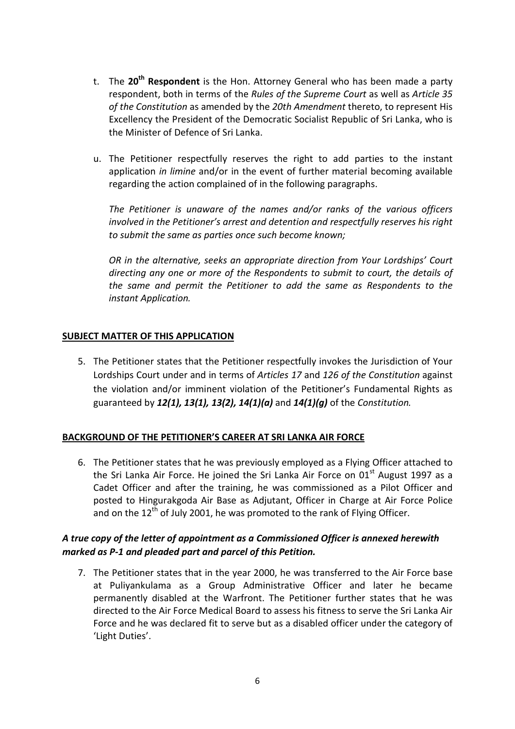- t. The  $20<sup>th</sup>$  Respondent is the Hon. Attorney General who has been made a party respondent, both in terms of the Rules of the Supreme Court as well as Article 35 of the Constitution as amended by the 20th Amendment thereto, to represent His Excellency the President of the Democratic Socialist Republic of Sri Lanka, who is the Minister of Defence of Sri Lanka.
- u. The Petitioner respectfully reserves the right to add parties to the instant application in limine and/or in the event of further material becoming available regarding the action complained of in the following paragraphs.

The Petitioner is unaware of the names and/or ranks of the various officers involved in the Petitioner's arrest and detention and respectfully reserves his right to submit the same as parties once such become known;

OR in the alternative, seeks an appropriate direction from Your Lordships' Court directing any one or more of the Respondents to submit to court, the details of the same and permit the Petitioner to add the same as Respondents to the instant Application.

### SUBJECT MATTER OF THIS APPLICATION

5. The Petitioner states that the Petitioner respectfully invokes the Jurisdiction of Your Lordships Court under and in terms of Articles 17 and 126 of the Constitution against the violation and/or imminent violation of the Petitioner's Fundamental Rights as guaranteed by  $12(1)$ ,  $13(1)$ ,  $13(2)$ ,  $14(1)(a)$  and  $14(1)(a)$  of the Constitution.

## BACKGROUND OF THE PETITIONER'S CAREER AT SRI LANKA AIR FORCE

6. The Petitioner states that he was previously employed as a Flying Officer attached to the Sri Lanka Air Force. He joined the Sri Lanka Air Force on  $01<sup>st</sup>$  August 1997 as a Cadet Officer and after the training, he was commissioned as a Pilot Officer and posted to Hingurakgoda Air Base as Adjutant, Officer in Charge at Air Force Police and on the  $12^{th}$  of July 2001, he was promoted to the rank of Flying Officer.

## A true copy of the letter of appointment as a Commissioned Officer is annexed herewith marked as P-1 and pleaded part and parcel of this Petition.

7. The Petitioner states that in the year 2000, he was transferred to the Air Force base at Puliyankulama as a Group Administrative Officer and later he became permanently disabled at the Warfront. The Petitioner further states that he was directed to the Air Force Medical Board to assess his fitness to serve the Sri Lanka Air Force and he was declared fit to serve but as a disabled officer under the category of 'Light Duties'.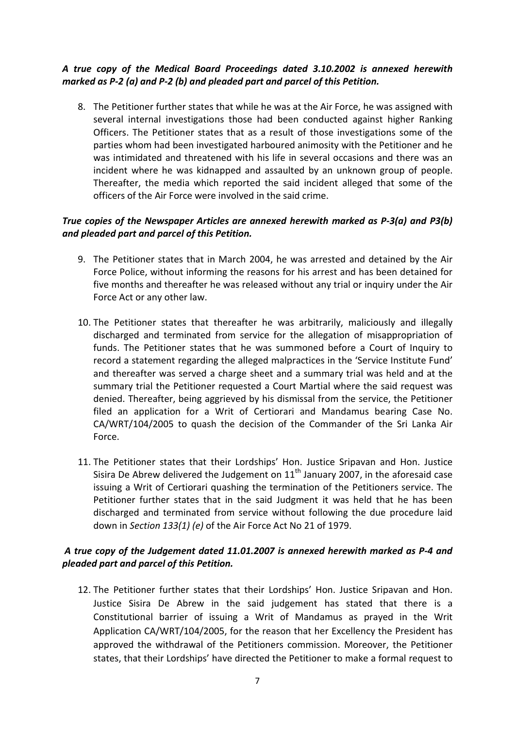## A true copy of the Medical Board Proceedings dated 3.10.2002 is annexed herewith marked as P-2 (a) and P-2 (b) and pleaded part and parcel of this Petition.

8. The Petitioner further states that while he was at the Air Force, he was assigned with several internal investigations those had been conducted against higher Ranking Officers. The Petitioner states that as a result of those investigations some of the parties whom had been investigated harboured animosity with the Petitioner and he was intimidated and threatened with his life in several occasions and there was an incident where he was kidnapped and assaulted by an unknown group of people. Thereafter, the media which reported the said incident alleged that some of the officers of the Air Force were involved in the said crime.

## True copies of the Newspaper Articles are annexed herewith marked as P-3(a) and P3(b) and pleaded part and parcel of this Petition.

- 9. The Petitioner states that in March 2004, he was arrested and detained by the Air Force Police, without informing the reasons for his arrest and has been detained for five months and thereafter he was released without any trial or inquiry under the Air Force Act or any other law.
- 10. The Petitioner states that thereafter he was arbitrarily, maliciously and illegally discharged and terminated from service for the allegation of misappropriation of funds. The Petitioner states that he was summoned before a Court of Inquiry to record a statement regarding the alleged malpractices in the 'Service Institute Fund' and thereafter was served a charge sheet and a summary trial was held and at the summary trial the Petitioner requested a Court Martial where the said request was denied. Thereafter, being aggrieved by his dismissal from the service, the Petitioner filed an application for a Writ of Certiorari and Mandamus bearing Case No. CA/WRT/104/2005 to quash the decision of the Commander of the Sri Lanka Air Force.
- 11. The Petitioner states that their Lordships' Hon. Justice Sripavan and Hon. Justice Sisira De Abrew delivered the Judgement on  $11<sup>th</sup>$  January 2007, in the aforesaid case issuing a Writ of Certiorari quashing the termination of the Petitioners service. The Petitioner further states that in the said Judgment it was held that he has been discharged and terminated from service without following the due procedure laid down in Section 133(1) (e) of the Air Force Act No 21 of 1979.

## A true copy of the Judgement dated 11.01.2007 is annexed herewith marked as P-4 and pleaded part and parcel of this Petition.

12. The Petitioner further states that their Lordships' Hon. Justice Sripavan and Hon. Justice Sisira De Abrew in the said judgement has stated that there is a Constitutional barrier of issuing a Writ of Mandamus as prayed in the Writ Application CA/WRT/104/2005, for the reason that her Excellency the President has approved the withdrawal of the Petitioners commission. Moreover, the Petitioner states, that their Lordships' have directed the Petitioner to make a formal request to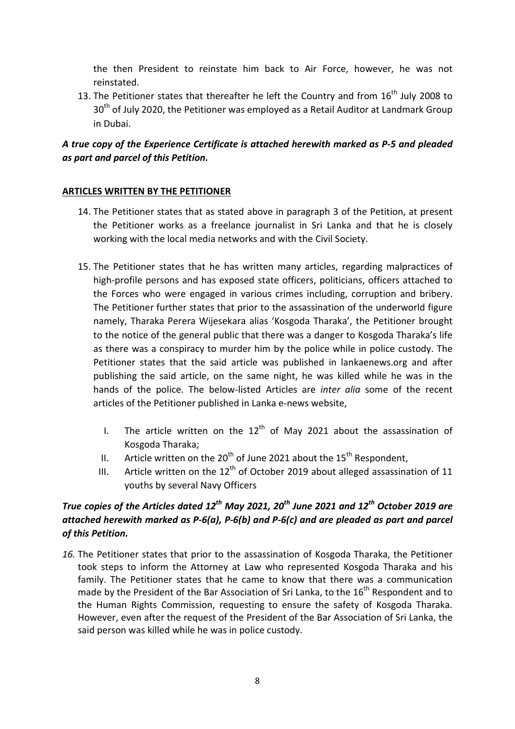the then President to reinstate him back to Air Force, however, he was not reinstated.

13. The Petitioner states that thereafter he left the Country and from  $16<sup>th</sup>$  July 2008 to 30<sup>th</sup> of July 2020, the Petitioner was employed as a Retail Auditor at Landmark Group in Dubai.

## A true copy of the Experience Certificate is attached herewith marked as P-5 and pleaded as part and parcel of this Petition.

## ARTICLES WRITTEN BY THE PETITIONER

- 14. The Petitioner states that as stated above in paragraph 3 of the Petition, at present the Petitioner works as a freelance journalist in Sri Lanka and that he is closely working with the local media networks and with the Civil Society.
- 15. The Petitioner states that he has written many articles, regarding malpractices of high-profile persons and has exposed state officers, politicians, officers attached to the Forces who were engaged in various crimes including, corruption and bribery. The Petitioner further states that prior to the assassination of the underworld figure namely, Tharaka Perera Wijesekara alias 'Kosgoda Tharaka', the Petitioner brought to the notice of the general public that there was a danger to Kosgoda Tharaka's life as there was a conspiracy to murder him by the police while in police custody. The Petitioner states that the said article was published in lankaenews.org and after publishing the said article, on the same night, he was killed while he was in the hands of the police. The below-listed Articles are inter alia some of the recent articles of the Petitioner published in Lanka e-news website,
	- I. The article written on the  $12<sup>th</sup>$  of May 2021 about the assassination of Kosgoda Tharaka;
	- II. Article written on the  $20^{th}$  of June 2021 about the  $15^{th}$  Respondent,
	- III. Article written on the  $12<sup>th</sup>$  of October 2019 about alleged assassination of 11 youths by several Navy Officers

# True copies of the Articles dated  $12^{th}$  May 2021, 20<sup>th</sup> June 2021 and  $12^{th}$  October 2019 are attached herewith marked as P-6(a), P-6(b) and P-6(c) and are pleaded as part and parcel of this Petition.

16. The Petitioner states that prior to the assassination of Kosgoda Tharaka, the Petitioner took steps to inform the Attorney at Law who represented Kosgoda Tharaka and his family. The Petitioner states that he came to know that there was a communication made by the President of the Bar Association of Sri Lanka, to the  $16<sup>th</sup>$  Respondent and to the Human Rights Commission, requesting to ensure the safety of Kosgoda Tharaka. However, even after the request of the President of the Bar Association of Sri Lanka, the said person was killed while he was in police custody.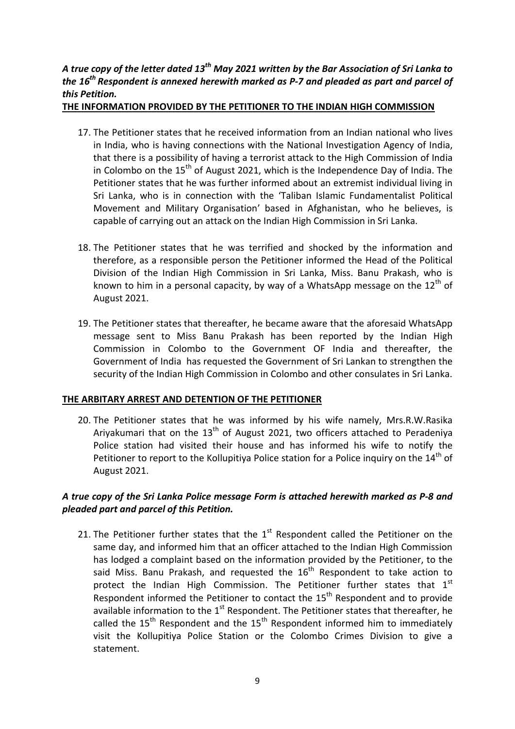## A true copy of the letter dated 13<sup>th</sup> May 2021 written by the Bar Association of Sri Lanka to the  $16<sup>th</sup>$  Respondent is annexed herewith marked as P-7 and pleaded as part and parcel of this Petition.

THE INFORMATION PROVIDED BY THE PETITIONER TO THE INDIAN HIGH COMMISSION

- 17. The Petitioner states that he received information from an Indian national who lives in India, who is having connections with the National Investigation Agency of India, that there is a possibility of having a terrorist attack to the High Commission of India in Colombo on the  $15<sup>th</sup>$  of August 2021, which is the Independence Day of India. The Petitioner states that he was further informed about an extremist individual living in Sri Lanka, who is in connection with the 'Taliban Islamic Fundamentalist Political Movement and Military Organisation' based in Afghanistan, who he believes, is capable of carrying out an attack on the Indian High Commission in Sri Lanka.
- 18. The Petitioner states that he was terrified and shocked by the information and therefore, as a responsible person the Petitioner informed the Head of the Political Division of the Indian High Commission in Sri Lanka, Miss. Banu Prakash, who is known to him in a personal capacity, by way of a WhatsApp message on the  $12<sup>th</sup>$  of August 2021.
- 19. The Petitioner states that thereafter, he became aware that the aforesaid WhatsApp message sent to Miss Banu Prakash has been reported by the Indian High Commission in Colombo to the Government OF India and thereafter, the Government of India has requested the Government of Sri Lankan to strengthen the security of the Indian High Commission in Colombo and other consulates in Sri Lanka.

## THE ARBITARY ARREST AND DETENTION OF THE PETITIONER

20. The Petitioner states that he was informed by his wife namely, Mrs.R.W.Rasika Ariyakumari that on the  $13<sup>th</sup>$  of August 2021, two officers attached to Peradeniya Police station had visited their house and has informed his wife to notify the Petitioner to report to the Kollupitiya Police station for a Police inquiry on the  $14<sup>th</sup>$  of August 2021.

## A true copy of the Sri Lanka Police message Form is attached herewith marked as P-8 and pleaded part and parcel of this Petition.

21. The Petitioner further states that the  $1<sup>st</sup>$  Respondent called the Petitioner on the same day, and informed him that an officer attached to the Indian High Commission has lodged a complaint based on the information provided by the Petitioner, to the said Miss. Banu Prakash, and requested the  $16<sup>th</sup>$  Respondent to take action to protect the Indian High Commission. The Petitioner further states that  $1<sup>st</sup>$ Respondent informed the Petitioner to contact the  $15<sup>th</sup>$  Respondent and to provide available information to the  $1<sup>st</sup>$  Respondent. The Petitioner states that thereafter, he called the  $15<sup>th</sup>$  Respondent and the  $15<sup>th</sup>$  Respondent informed him to immediately visit the Kollupitiya Police Station or the Colombo Crimes Division to give a statement.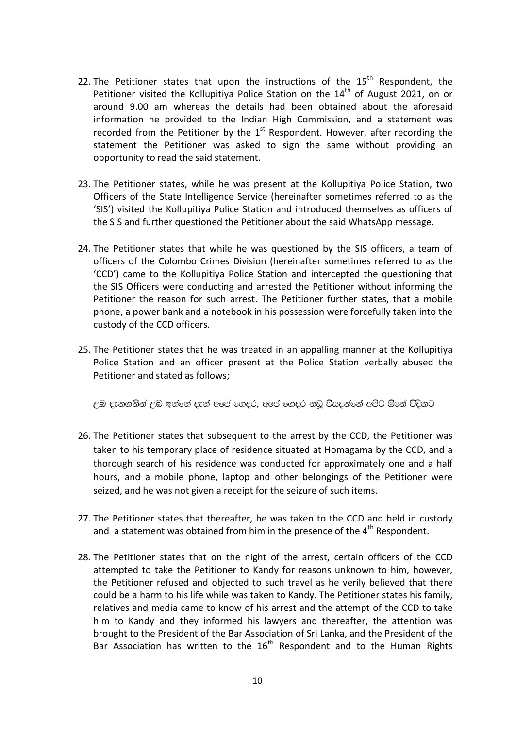- 22. The Petitioner states that upon the instructions of the  $15<sup>th</sup>$  Respondent, the Petitioner visited the Kollupitiva Police Station on the 14<sup>th</sup> of August 2021, on or around 9.00 am whereas the details had been obtained about the aforesaid information he provided to the Indian High Commission, and a statement was recorded from the Petitioner by the  $1<sup>st</sup>$  Respondent. However, after recording the statement the Petitioner was asked to sign the same without providing an opportunity to read the said statement.
- 23. The Petitioner states, while he was present at the Kollupitiya Police Station, two Officers of the State Intelligence Service (hereinafter sometimes referred to as the 'SIS') visited the Kollupitiya Police Station and introduced themselves as officers of the SIS and further questioned the Petitioner about the said WhatsApp message.
- 24. The Petitioner states that while he was questioned by the SIS officers, a team of officers of the Colombo Crimes Division (hereinafter sometimes referred to as the 'CCD') came to the Kollupitiya Police Station and intercepted the questioning that the SIS Officers were conducting and arrested the Petitioner without informing the Petitioner the reason for such arrest. The Petitioner further states, that a mobile phone, a power bank and a notebook in his possession were forcefully taken into the custody of the CCD officers.
- 25. The Petitioner states that he was treated in an appalling manner at the Kollupitiya Police Station and an officer present at the Police Station verbally abused the Petitioner and stated as follows;

උබ දැනගනින් උබ ඉන්නේ දැන් අපේ ගෙදුර, අපේ ගෙදුර නඩු විසදන්නේ අපිට ඕනේ විදිහට

- 26. The Petitioner states that subsequent to the arrest by the CCD, the Petitioner was taken to his temporary place of residence situated at Homagama by the CCD, and a thorough search of his residence was conducted for approximately one and a half hours, and a mobile phone, laptop and other belongings of the Petitioner were seized, and he was not given a receipt for the seizure of such items.
- 27. The Petitioner states that thereafter, he was taken to the CCD and held in custody and a statement was obtained from him in the presence of the  $4<sup>th</sup>$  Respondent.
- 28. The Petitioner states that on the night of the arrest, certain officers of the CCD attempted to take the Petitioner to Kandy for reasons unknown to him, however, the Petitioner refused and objected to such travel as he verily believed that there could be a harm to his life while was taken to Kandy. The Petitioner states his family, relatives and media came to know of his arrest and the attempt of the CCD to take him to Kandy and they informed his lawyers and thereafter, the attention was brought to the President of the Bar Association of Sri Lanka, and the President of the Bar Association has written to the  $16<sup>th</sup>$  Respondent and to the Human Rights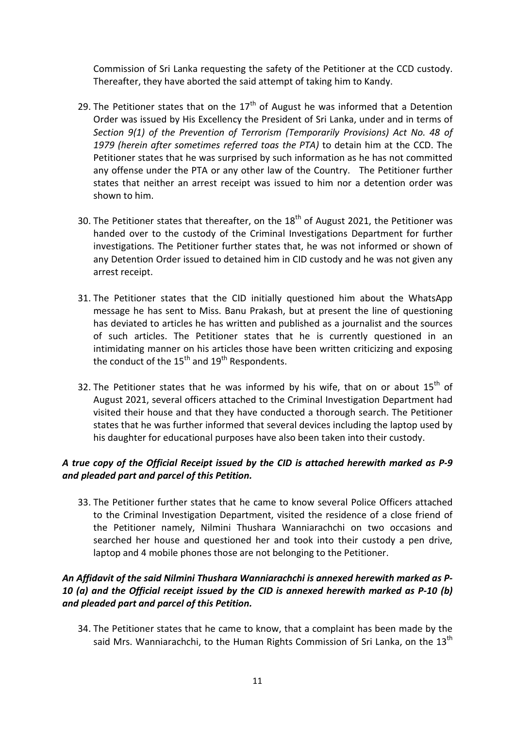Commission of Sri Lanka requesting the safety of the Petitioner at the CCD custody. Thereafter, they have aborted the said attempt of taking him to Kandy.

- 29. The Petitioner states that on the  $17<sup>th</sup>$  of August he was informed that a Detention Order was issued by His Excellency the President of Sri Lanka, under and in terms of Section 9(1) of the Prevention of Terrorism (Temporarily Provisions) Act No. 48 of 1979 (herein after sometimes referred toas the PTA) to detain him at the CCD. The Petitioner states that he was surprised by such information as he has not committed any offense under the PTA or any other law of the Country. The Petitioner further states that neither an arrest receipt was issued to him nor a detention order was shown to him.
- 30. The Petitioner states that thereafter, on the  $18<sup>th</sup>$  of August 2021, the Petitioner was handed over to the custody of the Criminal Investigations Department for further investigations. The Petitioner further states that, he was not informed or shown of any Detention Order issued to detained him in CID custody and he was not given any arrest receipt.
- 31. The Petitioner states that the CID initially questioned him about the WhatsApp message he has sent to Miss. Banu Prakash, but at present the line of questioning has deviated to articles he has written and published as a journalist and the sources of such articles. The Petitioner states that he is currently questioned in an intimidating manner on his articles those have been written criticizing and exposing the conduct of the  $15<sup>th</sup>$  and  $19<sup>th</sup>$  Respondents.
- 32. The Petitioner states that he was informed by his wife, that on or about  $15<sup>th</sup>$  of August 2021, several officers attached to the Criminal Investigation Department had visited their house and that they have conducted a thorough search. The Petitioner states that he was further informed that several devices including the laptop used by his daughter for educational purposes have also been taken into their custody.

## A true copy of the Official Receipt issued by the CID is attached herewith marked as P-9 and pleaded part and parcel of this Petition.

33. The Petitioner further states that he came to know several Police Officers attached to the Criminal Investigation Department, visited the residence of a close friend of the Petitioner namely, Nilmini Thushara Wanniarachchi on two occasions and searched her house and questioned her and took into their custody a pen drive, laptop and 4 mobile phones those are not belonging to the Petitioner.

## An Affidavit of the said Nilmini Thushara Wanniarachchi is annexed herewith marked as P-10 (a) and the Official receipt issued by the CID is annexed herewith marked as P-10 (b) and pleaded part and parcel of this Petition.

34. The Petitioner states that he came to know, that a complaint has been made by the said Mrs. Wanniarachchi, to the Human Rights Commission of Sri Lanka, on the 13<sup>th</sup>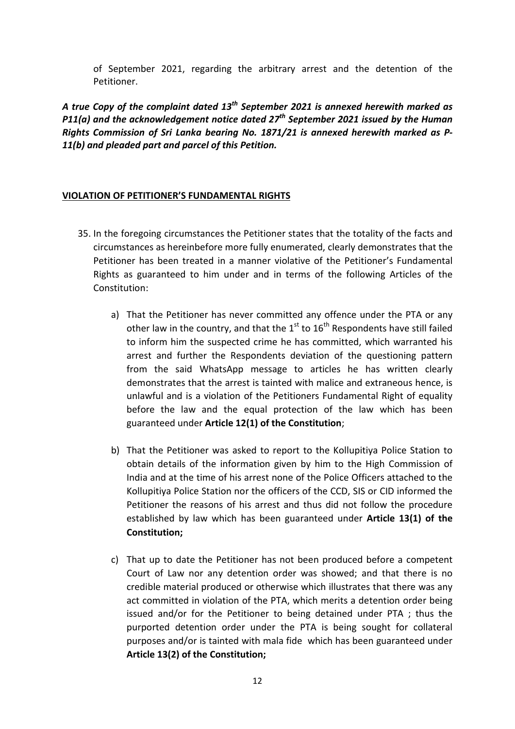of September 2021, regarding the arbitrary arrest and the detention of the Petitioner.

A true Copy of the complaint dated  $13^{th}$  September 2021 is annexed herewith marked as P11(a) and the acknowledgement notice dated  $27<sup>th</sup>$  September 2021 issued by the Human Rights Commission of Sri Lanka bearing No. 1871/21 is annexed herewith marked as P-11(b) and pleaded part and parcel of this Petition.

### VIOLATION OF PETITIONER'S FUNDAMENTAL RIGHTS

- 35. In the foregoing circumstances the Petitioner states that the totality of the facts and circumstances as hereinbefore more fully enumerated, clearly demonstrates that the Petitioner has been treated in a manner violative of the Petitioner's Fundamental Rights as guaranteed to him under and in terms of the following Articles of the Constitution:
	- a) That the Petitioner has never committed any offence under the PTA or any other law in the country, and that the  $1<sup>st</sup>$  to  $16<sup>th</sup>$  Respondents have still failed to inform him the suspected crime he has committed, which warranted his arrest and further the Respondents deviation of the questioning pattern from the said WhatsApp message to articles he has written clearly demonstrates that the arrest is tainted with malice and extraneous hence, is unlawful and is a violation of the Petitioners Fundamental Right of equality before the law and the equal protection of the law which has been guaranteed under Article 12(1) of the Constitution;
	- b) That the Petitioner was asked to report to the Kollupitiya Police Station to obtain details of the information given by him to the High Commission of India and at the time of his arrest none of the Police Officers attached to the Kollupitiya Police Station nor the officers of the CCD, SIS or CID informed the Petitioner the reasons of his arrest and thus did not follow the procedure established by law which has been guaranteed under Article 13(1) of the Constitution;
	- c) That up to date the Petitioner has not been produced before a competent Court of Law nor any detention order was showed; and that there is no credible material produced or otherwise which illustrates that there was any act committed in violation of the PTA, which merits a detention order being issued and/or for the Petitioner to being detained under PTA ; thus the purported detention order under the PTA is being sought for collateral purposes and/or is tainted with mala fide which has been guaranteed under Article 13(2) of the Constitution;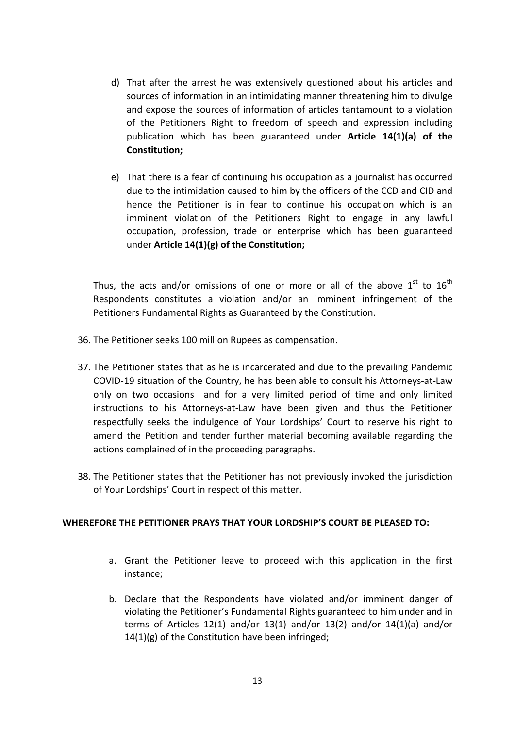- d) That after the arrest he was extensively questioned about his articles and sources of information in an intimidating manner threatening him to divulge and expose the sources of information of articles tantamount to a violation of the Petitioners Right to freedom of speech and expression including publication which has been guaranteed under Article 14(1)(a) of the Constitution;
- e) That there is a fear of continuing his occupation as a journalist has occurred due to the intimidation caused to him by the officers of the CCD and CID and hence the Petitioner is in fear to continue his occupation which is an imminent violation of the Petitioners Right to engage in any lawful occupation, profession, trade or enterprise which has been guaranteed under Article 14(1)(g) of the Constitution;

Thus, the acts and/or omissions of one or more or all of the above  $1^{st}$  to  $16^{th}$ Respondents constitutes a violation and/or an imminent infringement of the Petitioners Fundamental Rights as Guaranteed by the Constitution.

- 36. The Petitioner seeks 100 million Rupees as compensation.
- 37. The Petitioner states that as he is incarcerated and due to the prevailing Pandemic COVID-19 situation of the Country, he has been able to consult his Attorneys-at-Law only on two occasions and for a very limited period of time and only limited instructions to his Attorneys-at-Law have been given and thus the Petitioner respectfully seeks the indulgence of Your Lordships' Court to reserve his right to amend the Petition and tender further material becoming available regarding the actions complained of in the proceeding paragraphs.
- 38. The Petitioner states that the Petitioner has not previously invoked the jurisdiction of Your Lordships' Court in respect of this matter.

## WHEREFORE THE PETITIONER PRAYS THAT YOUR LORDSHIP'S COURT BE PLEASED TO:

- a. Grant the Petitioner leave to proceed with this application in the first instance;
- b. Declare that the Respondents have violated and/or imminent danger of violating the Petitioner's Fundamental Rights guaranteed to him under and in terms of Articles 12(1) and/or 13(1) and/or 13(2) and/or 14(1)(a) and/or  $14(1)(g)$  of the Constitution have been infringed;